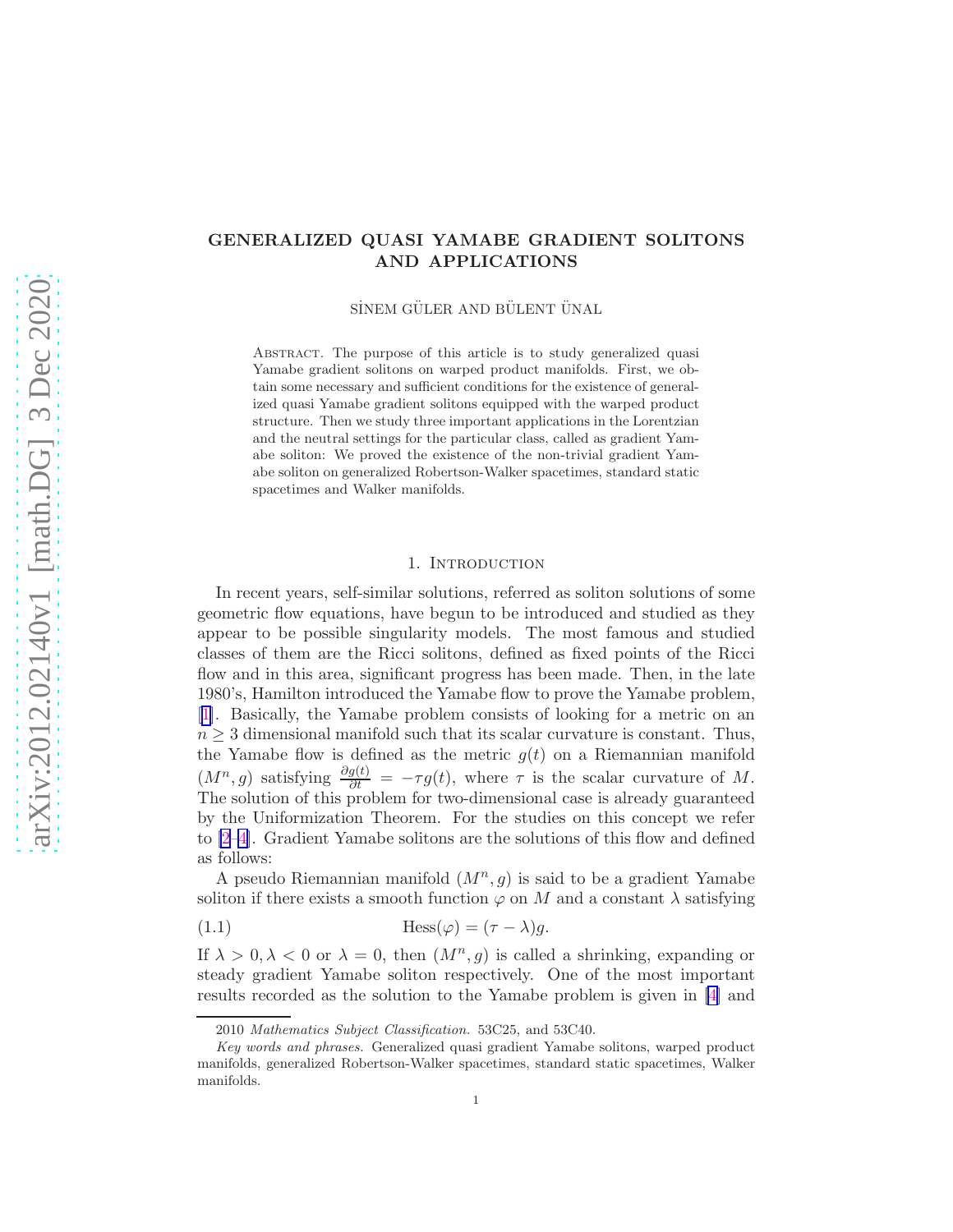# <span id="page-0-0"></span>GENERALIZED QUASI YAMABE GRADIENT SOLITONS AND APPLICATIONS

SİNEM GÜLER AND BÜLENT ÜNAL

ABSTRACT. The purpose of this article is to study generalized quasi Yamabe gradient solitons on warped product manifolds. First, we obtain some necessary and sufficient conditions for the existence of generalized quasi Yamabe gradient solitons equipped with the warped product structure. Then we study three important applications in the Lorentzian and the neutral settings for the particular class, called as gradient Yamabe soliton: We proved the existence of the non-trivial gradient Yamabe soliton on generalized Robertson-Walker spacetimes, standard static spacetimes and Walker manifolds.

### 1. Introduction

In recent years, self-similar solutions, referred as soliton solutions of some geometric flow equations, have begun to be introduced and studied as they appear to be possible singularity models. The most famous and studied classes of them are the Ricci solitons, defined as fixed points of the Ricci flow and in this area, significant progress has been made. Then, in the late 1980's, Hamilton introduced the Yamabe flow to prove the Yamabe problem, [[1](#page-9-0)]. Basically, the Yamabe problem consists of looking for a metric on an  $n \geq 3$  dimensional manifold such that its scalar curvature is constant. Thus, the Yamabe flow is defined as the metric  $g(t)$  on a Riemannian manifold  $(M^n, g)$  satisfying  $\frac{\partial g(t)}{\partial t} = -\tau g(t)$ , where  $\tau$  is the scalar curvature of M. The solution of this problem for two-dimensional case is already guaranteed by the Uniformization Theorem. For the studies on this concept we refer to [\[2–4\]](#page-9-0). Gradient Yamabe solitons are the solutions of this flow and defined as follows:

A pseudo Riemannian manifold  $(M^n, g)$  is said to be a gradient Yamabe soliton if there exists a smooth function  $\varphi$  on M and a constant  $\lambda$  satisfying

(1.1) 
$$
\text{Hess}(\varphi) = (\tau - \lambda)g.
$$

If  $\lambda > 0, \lambda < 0$  or  $\lambda = 0$ , then  $(M^n, g)$  is called a shrinking, expanding or steady gradient Yamabe soliton respectively. One of the most important results recorded as the solution to the Yamabe problem is given in [\[4\]](#page-9-0) and

<sup>2010</sup> Mathematics Subject Classification. 53C25, and 53C40.

Key words and phrases. Generalized quasi gradient Yamabe solitons, warped product manifolds, generalized Robertson-Walker spacetimes, standard static spacetimes, Walker manifolds.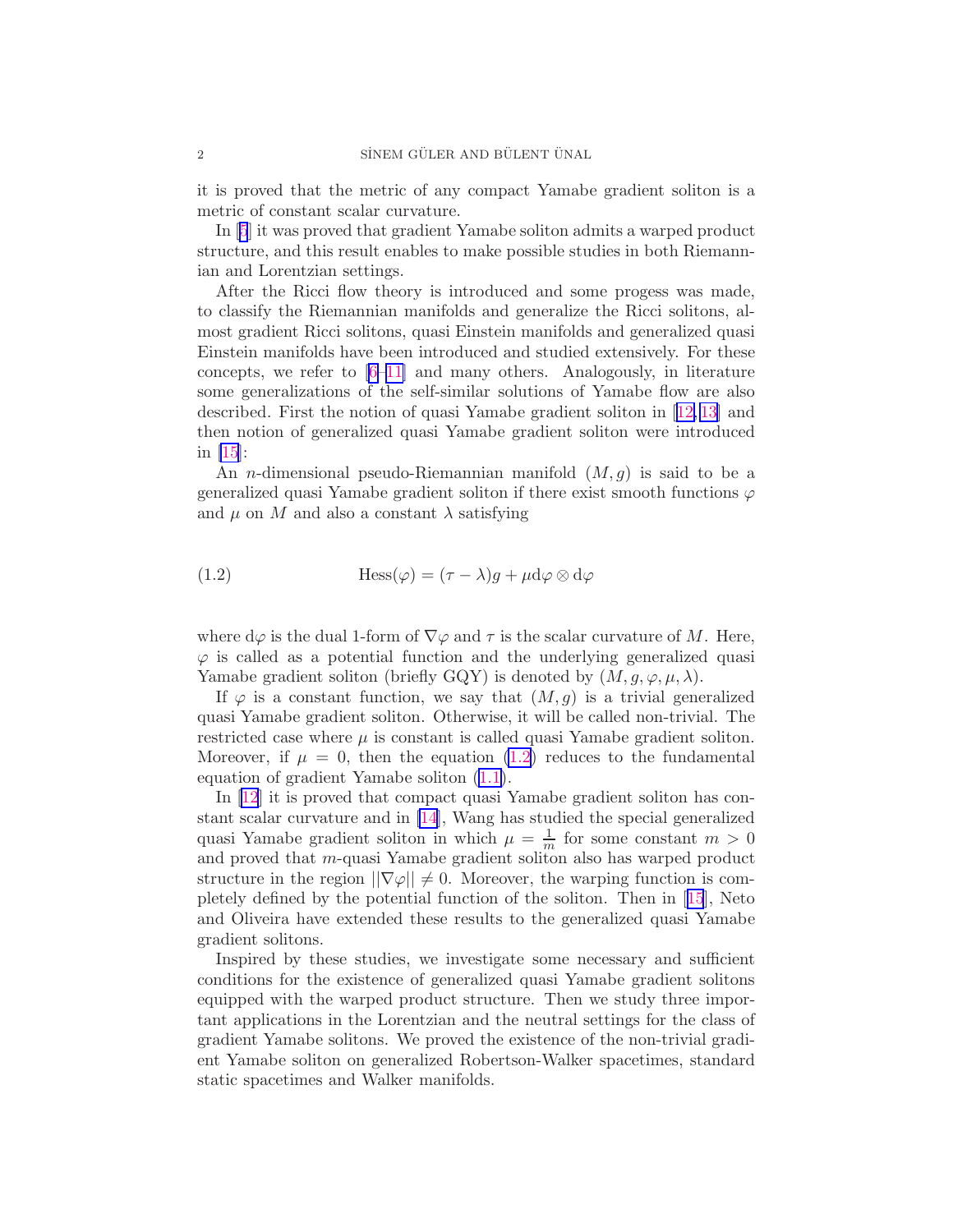<span id="page-1-0"></span>it is proved that the metric of any compact Yamabe gradient soliton is a metric of constant scalar curvature.

In [\[5](#page-9-0)] it was proved that gradient Yamabe soliton admits a warped product structure, and this result enables to make possible studies in both Riemannian and Lorentzian settings.

After the Ricci flow theory is introduced and some progess was made, to classify the Riemannian manifolds and generalize the Ricci solitons, almost gradient Ricci solitons, quasi Einstein manifolds and generalized quasi Einstein manifolds have been introduced and studied extensively. For these concepts, we refer to  $[6-11]$  and many others. Analogously, in literature some generalizations of the self-similar solutions of Yamabe flow are also described. First the notion of quasi Yamabe gradient soliton in[[12,](#page-9-0) [13\]](#page-10-0) and then notion of generalized quasi Yamabe gradient soliton were introduced in [\[15](#page-10-0)]:

An *n*-dimensional pseudo-Riemannian manifold  $(M, g)$  is said to be a generalized quasi Yamabe gradient soliton if there exist smooth functions  $\varphi$ and  $\mu$  on M and also a constant  $\lambda$  satisfying

(1.2) 
$$
\text{Hess}(\varphi) = (\tau - \lambda)g + \mu d\varphi \otimes d\varphi
$$

where  $d\varphi$  is the dual 1-form of  $\nabla\varphi$  and  $\tau$  is the scalar curvature of M. Here,  $\varphi$  is called as a potential function and the underlying generalized quasi Yamabe gradient soliton (briefly GQY) is denoted by  $(M, g, \varphi, \mu, \lambda)$ .

If  $\varphi$  is a constant function, we say that  $(M, g)$  is a trivial generalized quasi Yamabe gradient soliton. Otherwise, it will be called non-trivial. The restricted case where  $\mu$  is constant is called quasi Yamabe gradient soliton. Moreover, if  $\mu = 0$ , then the equation (1.2) reduces to the fundamental equation of gradient Yamabe soliton([1.1\)](#page-0-0).

In [\[12](#page-9-0)] it is proved that compact quasi Yamabe gradient soliton has constant scalar curvature and in [\[14\]](#page-10-0), Wang has studied the special generalized quasi Yamabe gradient soliton in which  $\mu = \frac{1}{m}$  for some constant  $m > 0$ and proved that m-quasi Yamabe gradient soliton also has warped product structure in the region  $||\nabla \varphi|| \neq 0$ . Moreover, the warping function is completely defined by the potential function of the soliton. Then in[[15](#page-10-0)], Neto and Oliveira have extended these results to the generalized quasi Yamabe gradient solitons.

Inspired by these studies, we investigate some necessary and sufficient conditions for the existence of generalized quasi Yamabe gradient solitons equipped with the warped product structure. Then we study three important applications in the Lorentzian and the neutral settings for the class of gradient Yamabe solitons. We proved the existence of the non-trivial gradient Yamabe soliton on generalized Robertson-Walker spacetimes, standard static spacetimes and Walker manifolds.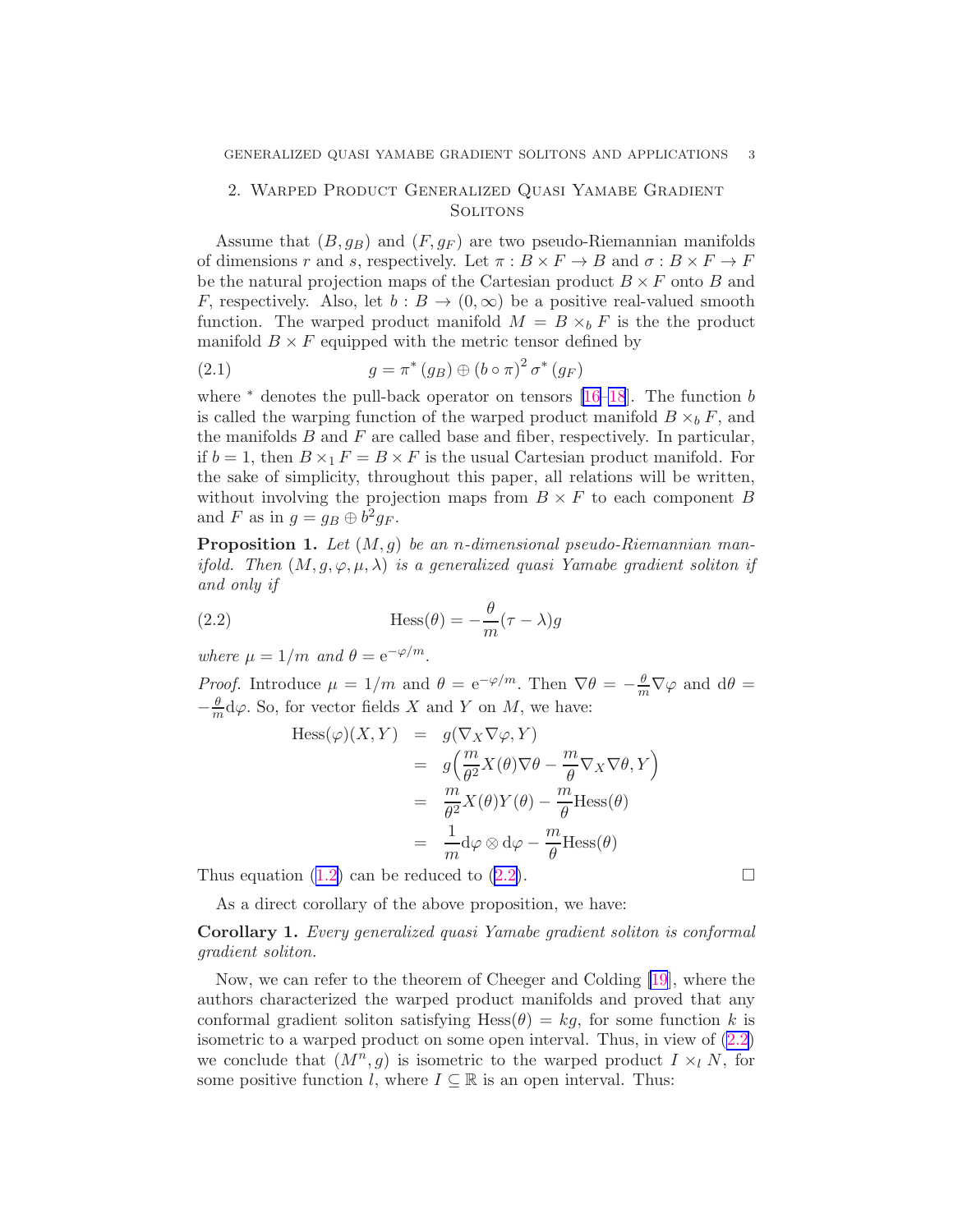## <span id="page-2-0"></span>2. Warped Product Generalized Quasi Yamabe Gradient **SOLITONS**

Assume that  $(B, g_B)$  and  $(F, g_F)$  are two pseudo-Riemannian manifolds of dimensions r and s, respectively. Let  $\pi : B \times F \to B$  and  $\sigma : B \times F \to F$ be the natural projection maps of the Cartesian product  $B \times F$  onto B and F, respectively. Also, let  $b : B \to (0, \infty)$  be a positive real-valued smooth function. The warped product manifold  $M = B \times_b F$  is the the product manifold  $B \times F$  equipped with the metric tensor defined by

(2.1) 
$$
g = \pi^* (g_B) \oplus (b \circ \pi)^2 \sigma^* (g_F)
$$

where  $*$  denotes the pull-back operator on tensors [\[16–18](#page-10-0)]. The function b is called the warping function of the warped product manifold  $B \times_b F$ , and the manifolds  $B$  and  $F$  are called base and fiber, respectively. In particular, if  $b = 1$ , then  $B \times_1 F = B \times F$  is the usual Cartesian product manifold. For the sake of simplicity, throughout this paper, all relations will be written, without involving the projection maps from  $B \times F$  to each component B and F as in  $g = g_B \oplus b^2 g_F$ .

**Proposition 1.** Let  $(M, g)$  be an n-dimensional pseudo-Riemannian manifold. Then  $(M, g, \varphi, \mu, \lambda)$  is a generalized quasi Yamabe gradient soliton if and only if

(2.2) 
$$
\qquad \qquad \text{Hess}(\theta) = -\frac{\theta}{m}(\tau - \lambda)g
$$

where  $\mu = 1/m$  and  $\theta = e^{-\varphi/m}$ .

*Proof.* Introduce  $\mu = 1/m$  and  $\theta = e^{-\varphi/m}$ . Then  $\nabla \theta = -\frac{\theta}{m} \nabla \varphi$  and  $d\theta =$  $-\frac{\theta}{m}\mathrm{d}\varphi$ . So, for vector fields X and Y on M, we have:

$$
\begin{array}{rcl}\n\text{Hess}(\varphi)(X,Y) & = & g(\nabla_X \nabla \varphi, Y) \\
& = & g\left(\frac{m}{\theta^2} X(\theta) \nabla \theta - \frac{m}{\theta} \nabla_X \nabla \theta, Y\right) \\
& = & \frac{m}{\theta^2} X(\theta) Y(\theta) - \frac{m}{\theta} \text{Hess}(\theta) \\
& = & \frac{1}{m} \text{d}\varphi \otimes \text{d}\varphi - \frac{m}{\theta} \text{Hess}(\theta)\n\end{array}
$$

Thus equation [\(1.2\)](#page-1-0) can be reduced to (2.2).

As a direct corollary of the above proposition, we have:

Corollary 1. Every generalized quasi Yamabe gradient soliton is conformal gradient soliton.

Now, we can refer to the theorem of Cheeger and Colding [\[19](#page-10-0)], where the authors characterized the warped product manifolds and proved that any conformal gradient soliton satisfying Hess $(\theta) = kg$ , for some function k is isometric to a warped product on some open interval. Thus, in view of (2.2) we conclude that  $(M^n, g)$  is isometric to the warped product  $I \times_l N$ , for some positive function l, where  $I \subseteq \mathbb{R}$  is an open interval. Thus: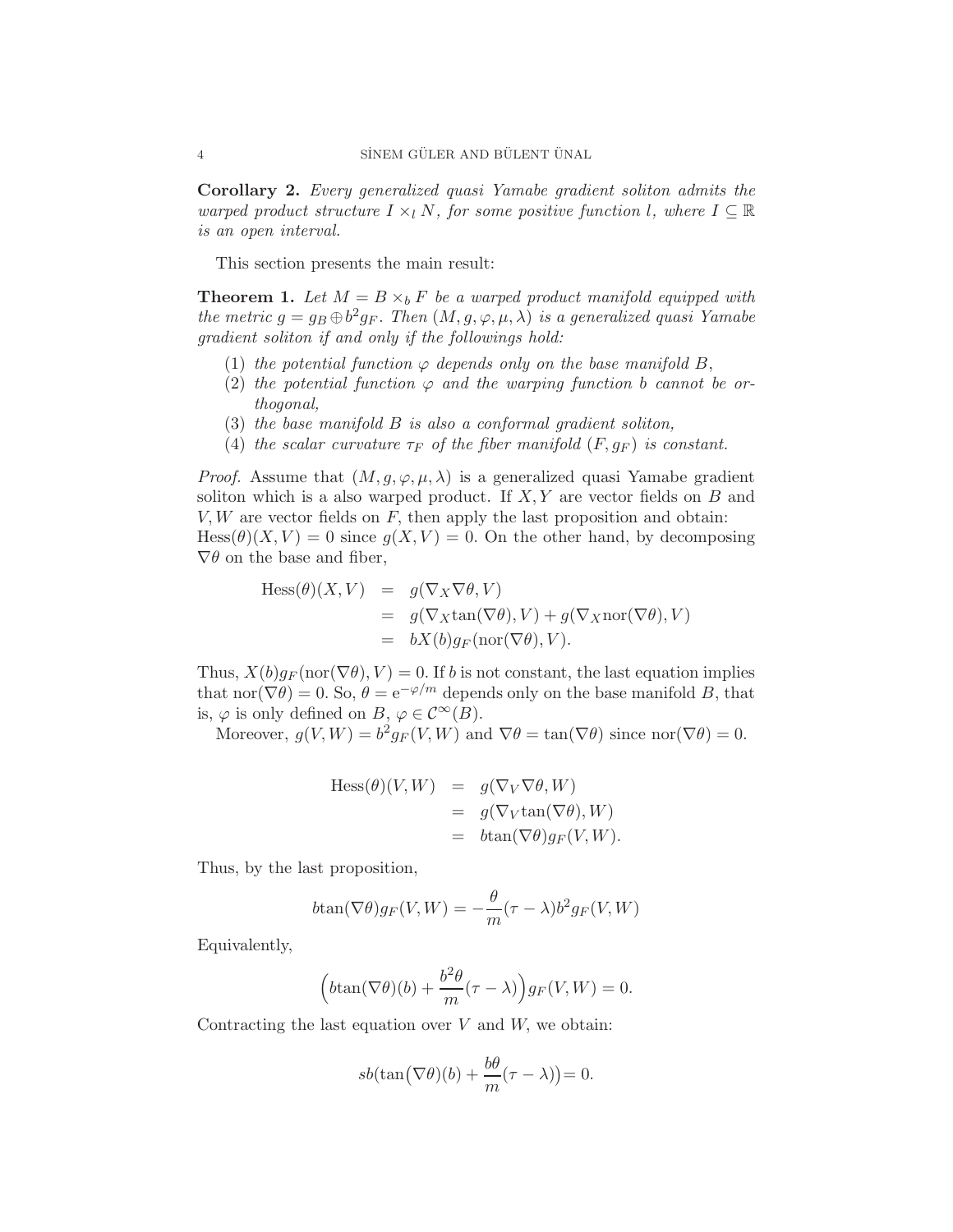<span id="page-3-0"></span>Corollary 2. Every generalized quasi Yamabe gradient soliton admits the warped product structure  $I \times_l N$ , for some positive function l, where  $I \subseteq \mathbb{R}$ is an open interval.

This section presents the main result:

**Theorem 1.** Let  $M = B \times_b F$  be a warped product manifold equipped with the metric  $g = g_B \oplus b^2 g_F$ . Then  $(M, g, \varphi, \mu, \lambda)$  is a generalized quasi Yamabe gradient soliton if and only if the followings hold:

- (1) the potential function  $\varphi$  depends only on the base manifold B,
- (2) the potential function  $\varphi$  and the warping function b cannot be orthogonal,
- (3) the base manifold B is also a conformal gradient soliton,
- (4) the scalar curvature  $\tau_F$  of the fiber manifold  $(F, g_F)$  is constant.

*Proof.* Assume that  $(M, g, \varphi, \mu, \lambda)$  is a generalized quasi Yamabe gradient soliton which is a also warped product. If  $X, Y$  are vector fields on B and  $V, W$  are vector fields on  $F$ , then apply the last proposition and obtain:  $Hess(\theta)(X, V) = 0$  since  $g(X, V) = 0$ . On the other hand, by decomposing  $\nabla \theta$  on the base and fiber,

Hess
$$
(\theta)(X, V)
$$
 =  $g(\nabla_X \nabla \theta, V)$   
 =  $g(\nabla_X \tan(\nabla \theta), V) + g(\nabla_X \text{nor}(\nabla \theta), V)$   
 =  $bX(b)g_F(\text{nor}(\nabla \theta), V)$ .

Thus,  $X(b)g_F(\text{nor}(\nabla\theta), V) = 0$ . If b is not constant, the last equation implies that nor( $\nabla \theta$ ) = 0. So,  $\theta = e^{-\varphi/m}$  depends only on the base manifold B, that is,  $\varphi$  is only defined on  $B, \varphi \in C^{\infty}(B)$ .

Moreover,  $g(V, W) = b^2 g_F(V, W)$  and  $\nabla \theta = \tan(\nabla \theta)$  since  $\text{nor}(\nabla \theta) = 0$ .

$$
Hess(\theta)(V, W) = g(\nabla_V \nabla \theta, W)
$$
  
=  $g(\nabla_V \tan(\nabla \theta), W)$   
=  $b \tan(\nabla \theta) g_F(V, W)$ .

Thus, by the last proposition,

$$
b\tan(\nabla\theta)g_F(V,W) = -\frac{\theta}{m}(\tau-\lambda)b^2g_F(V,W)
$$

Equivalently,

$$
\left(b\tan(\nabla\theta)(b) + \frac{b^2\theta}{m}(\tau - \lambda)\right)g_F(V, W) = 0.
$$

Contracting the last equation over  $V$  and  $W$ , we obtain:

$$
sb(\tan(\nabla\theta)(b) + \frac{b\theta}{m}(\tau - \lambda)) = 0.
$$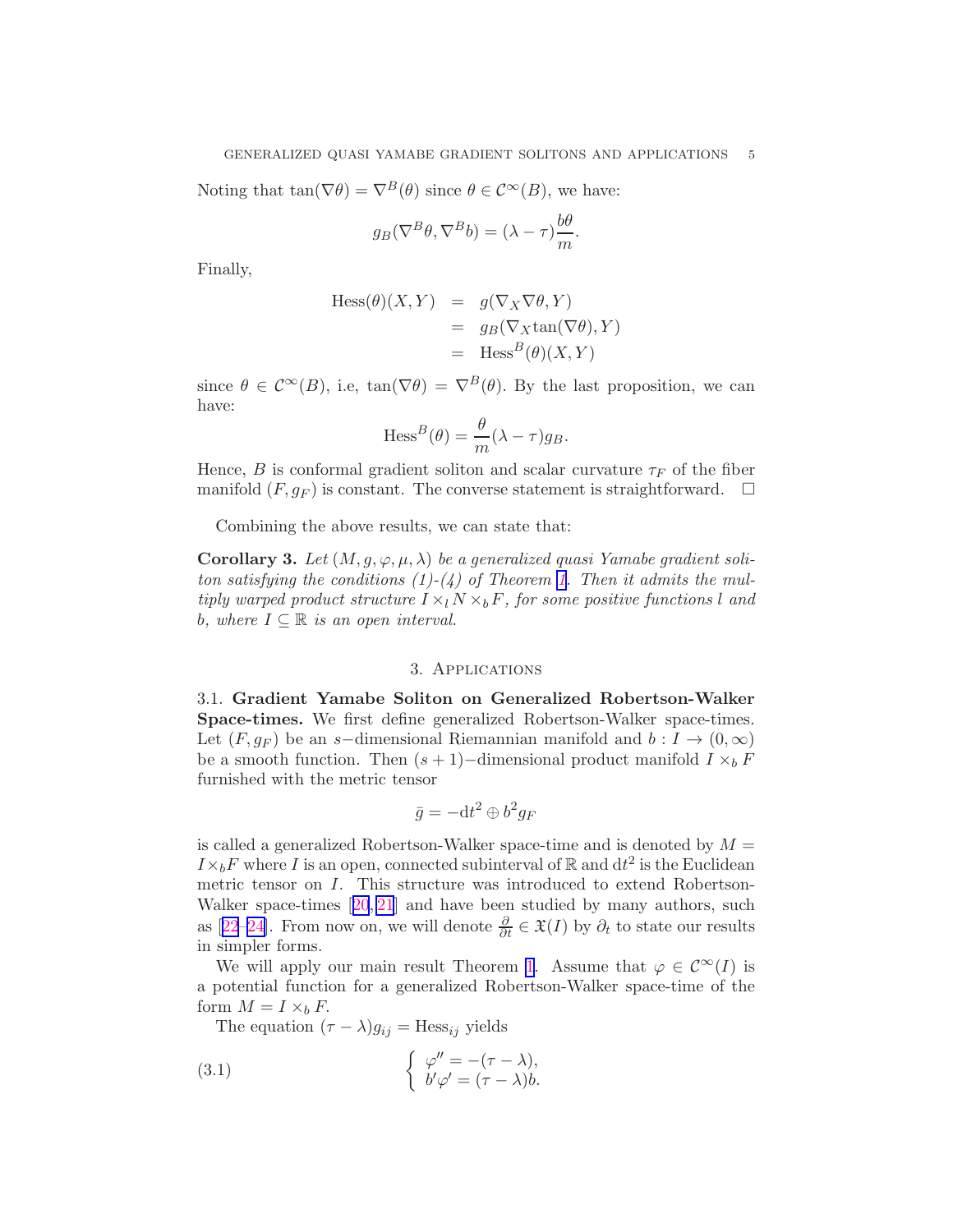<span id="page-4-0"></span>Noting that  $\tan(\nabla \theta) = \nabla^{B}(\theta)$  since  $\theta \in C^{\infty}(B)$ , we have:

$$
g_B(\nabla^B \theta, \nabla^B b) = (\lambda - \tau) \frac{b\theta}{m}.
$$

Finally,

$$
Hess(\theta)(X, Y) = g(\nabla_X \nabla \theta, Y)
$$
  
=  $g_B(\nabla_X \tan(\nabla \theta), Y)$   
=  $\text{Hess}^B(\theta)(X, Y)$ 

since  $\theta \in C^{\infty}(B)$ , i.e,  $tan(\nabla \theta) = \nabla^{B}(\theta)$ . By the last proposition, we can have:

$$
\mathrm{Hess}^B(\theta) = \frac{\theta}{m}(\lambda - \tau)g_B.
$$

Hence, B is conformal gradient soliton and scalar curvature  $\tau_F$  of the fiber manifold  $(F, g_F)$  is constant. The converse statement is straightforward.  $\Box$ 

Combining the above results, we can state that:

Corollary 3. Let  $(M, g, \varphi, \mu, \lambda)$  be a generalized quasi Yamabe gradient soliton satisfying the conditions  $(1)-(4)$  of Theorem [1.](#page-3-0) Then it admits the multiply warped product structure  $I \times_l N \times_b F$ , for some positive functions l and b, where  $I \subseteq \mathbb{R}$  is an open interval.

#### 3. Applications

3.1. Gradient Yamabe Soliton on Generalized Robertson-Walker Space-times. We first define generalized Robertson-Walker space-times. Let  $(F, g_F)$  be an s-dimensional Riemannian manifold and  $b: I \to (0, \infty)$ be a smooth function. Then  $(s + 1)$ −dimensional product manifold  $I \times_b F$ furnished with the metric tensor

$$
\bar{g} = -dt^2 \oplus b^2 g_F
$$

is called a generalized Robertson-Walker space-time and is denoted by  $M =$  $I \times_b F$  where I is an open, connected subinterval of R and  $dt^2$  is the Euclidean metric tensor on I. This structure was introduced to extend Robertson-Walker space-times[[20](#page-10-0), [21](#page-10-0)] and have been studied by many authors, such as[[22](#page-10-0)–[24\]](#page-10-0). From now on, we will denote  $\frac{\partial}{\partial t} \in \mathfrak{X}(I)$  by  $\partial_t$  to state our results in simpler forms.

We will apply our main result Theorem [1](#page-3-0). Assume that  $\varphi \in C^{\infty}(I)$  is a potential function for a generalized Robertson-Walker space-time of the form  $M = I \times_b F$ .

The equation  $(\tau - \lambda)g_{ij} = \text{Hess}_{ij}$  yields

(3.1) 
$$
\begin{cases} \varphi'' = -(\tau - \lambda), \\ b'\varphi' = (\tau - \lambda)b. \end{cases}
$$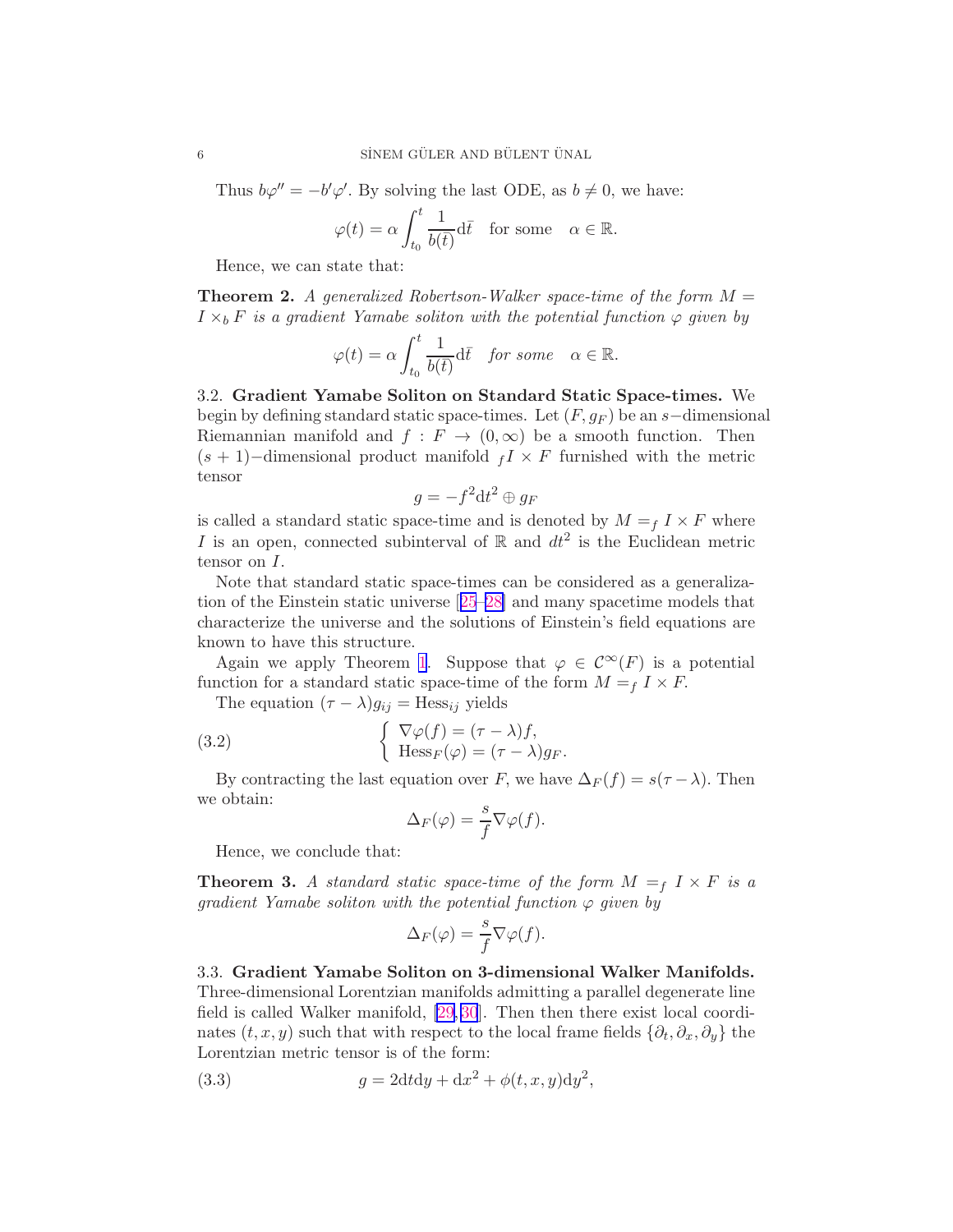Thus  $b\varphi'' = -b'\varphi'$ . By solving the last ODE, as  $b \neq 0$ , we have:

$$
\varphi(t) = \alpha \int_{t_0}^t \frac{1}{b(\bar{t})} d\bar{t} \quad \text{for some} \quad \alpha \in \mathbb{R}.
$$

Hence, we can state that:

**Theorem 2.** A generalized Robertson-Walker space-time of the form  $M =$  $I \times_b F$  is a gradient Yamabe soliton with the potential function  $\varphi$  given by

$$
\varphi(t) = \alpha \int_{t_0}^t \frac{1}{b(\bar t)} \mathrm d \bar t \quad \textit{for some} \quad \alpha \in \mathbb{R}.
$$

3.2. Gradient Yamabe Soliton on Standard Static Space-times. We begin by defining standard static space-times. Let  $(F, g_F)$  be an s−dimensional Riemannian manifold and  $f : F \to (0, \infty)$  be a smooth function. Then  $(s + 1)$ –dimensional product manifold  $f \times F$  furnished with the metric tensor

$$
g = -f^2 \mathrm{d} t^2 \oplus g_F
$$

is called a standard static space-time and is denoted by  $M = f X \times F$  where I is an open, connected subinterval of  $\mathbb R$  and  $dt^2$  is the Euclidean metric tensor on I.

Note that standard static space-times can be considered as a generalization of the Einstein static universe[[25](#page-10-0)–[28\]](#page-10-0) and many spacetime models that characterize the universe and the solutions of Einstein's field equations are known to have this structure.

Again we apply Theorem [1](#page-3-0). Suppose that  $\varphi \in C^{\infty}(F)$  is a potential function for a standard static space-time of the form  $M = f I \times F$ .

The equation  $(\tau - \lambda)g_{ij} = \text{Hess}_{ij}$  yields

(3.2) 
$$
\begin{cases} \nabla \varphi(f) = (\tau - \lambda)f, \\ \text{Hess}_F(\varphi) = (\tau - \lambda)g_F. \end{cases}
$$

By contracting the last equation over F, we have  $\Delta_F(f) = s(\tau - \lambda)$ . Then we obtain:

$$
\Delta_F(\varphi) = \frac{s}{f} \nabla \varphi(f).
$$

Hence, we conclude that:

**Theorem 3.** A standard static space-time of the form  $M = f \times F$  is a qradient Yamabe soliton with the potential function  $\varphi$  given by

$$
\Delta_F(\varphi) = \frac{s}{f} \nabla \varphi(f).
$$

3.3. Gradient Yamabe Soliton on 3-dimensional Walker Manifolds. Three-dimensional Lorentzian manifolds admitting a parallel degenerate line field is called Walker manifold, [\[29,](#page-10-0) [30](#page-10-0)]. Then then there exist local coordinates  $(t, x, y)$  such that with respect to the local frame fields  $\{\partial_t, \partial_x, \partial_y\}$  the Lorentzian metric tensor is of the form:

(3.3) 
$$
g = 2dt dy + dx^2 + \phi(t, x, y) dy^2,
$$

<span id="page-5-0"></span>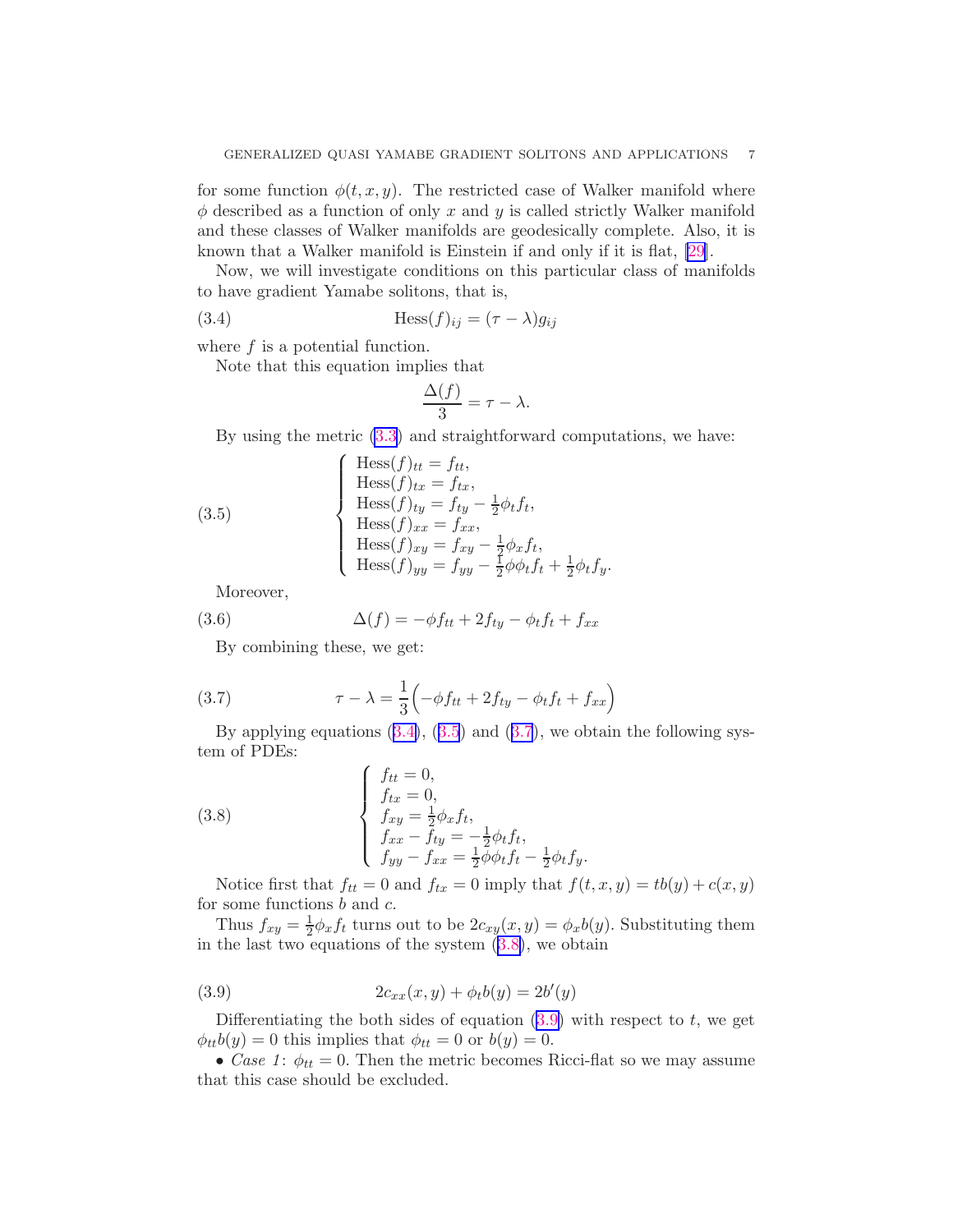<span id="page-6-0"></span>for some function  $\phi(t, x, y)$ . The restricted case of Walker manifold where  $\phi$  described as a function of only x and y is called strictly Walker manifold and these classes of Walker manifolds are geodesically complete. Also, it is known that a Walker manifold is Einstein if and only if it is flat, [\[29\]](#page-10-0).

Now, we will investigate conditions on this particular class of manifolds to have gradient Yamabe solitons, that is,

(3.4) 
$$
\text{Hess}(f)_{ij} = (\tau - \lambda)g_{ij}
$$

where  $f$  is a potential function.

Note that this equation implies that

$$
\frac{\Delta(f)}{3} = \tau - \lambda.
$$

By using the metric [\(3.3](#page-5-0)) and straightforward computations, we have:

(3.5)  
\n
$$
\begin{cases}\n\text{Hess}(f)_{tt} = f_{tt}, \\
\text{Hess}(f)_{tx} = f_{tx}, \\
\text{Hess}(f)_{ty} = f_{ty} - \frac{1}{2}\phi_t f_t, \\
\text{Hess}(f)_{xx} = f_{xx}, \\
\text{Hess}(f)_{xy} = f_{xy} - \frac{1}{2}\phi_x f_t, \\
\text{Hess}(f)_{yy} = f_{yy} - \frac{1}{2}\phi_t f_t + \frac{1}{2}\phi_t f_y.\n\end{cases}
$$

Moreover,

(3.6) 
$$
\Delta(f) = -\phi f_{tt} + 2f_{ty} - \phi_t f_t + f_{xx}
$$

By combining these, we get:

(3.7) 
$$
\tau - \lambda = \frac{1}{3} \left( -\phi f_{tt} + 2f_{ty} - \phi_t f_t + f_{xx} \right)
$$

By applying equations  $(3.4)$ ,  $(3.5)$  and  $(3.7)$ , we obtain the following system of PDEs:

(3.8) 
$$
\begin{cases} f_{tt} = 0, \\ f_{xx} = 0, \\ f_{xy} = \frac{1}{2} \phi_x f_t, \\ f_{xx} - f_{ty} = -\frac{1}{2} \phi_t f_t, \\ f_{yy} - f_{xx} = \frac{1}{2} \phi \phi_t f_t - \frac{1}{2} \phi_t f_y. \end{cases}
$$

Notice first that  $f_{tt} = 0$  and  $f_{tx} = 0$  imply that  $f(t, x, y) = tb(y) + c(x, y)$ for some functions b and c.

Thus  $f_{xy} = \frac{1}{2}$  $\frac{1}{2}\phi_x f_t$  turns out to be  $2c_{xy}(x,y) = \phi_x b(y)$ . Substituting them in the last two equations of the system  $(3.8)$ , we obtain

(3.9) 
$$
2c_{xx}(x,y) + \phi_t b(y) = 2b'(y)
$$

Differentiating the both sides of equation  $(3.9)$  with respect to t, we get  $\phi_{tt}b(y) = 0$  this implies that  $\phi_{tt} = 0$  or  $b(y) = 0$ .

• Case 1:  $\phi_{tt} = 0$ . Then the metric becomes Ricci-flat so we may assume that this case should be excluded.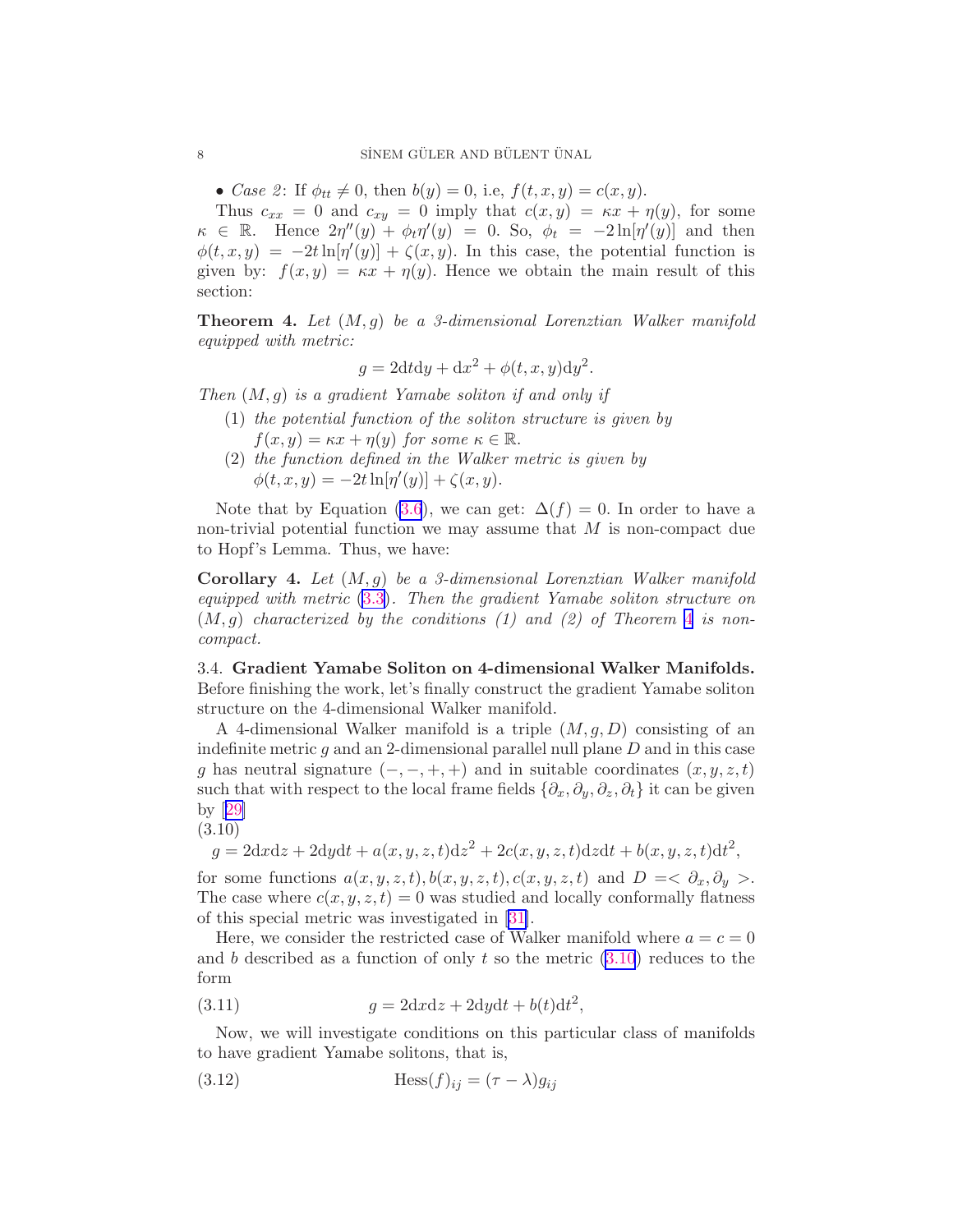<span id="page-7-0"></span>• Case 2: If  $\phi_{tt} \neq 0$ , then  $b(y) = 0$ , i.e,  $f(t, x, y) = c(x, y)$ .

Thus  $c_{xx} = 0$  and  $c_{xy} = 0$  imply that  $c(x, y) = \kappa x + \eta(y)$ , for some  $\kappa \in \mathbb{R}$ . Hence  $2\eta''(y) + \phi_t \eta'(y) = 0$ . So,  $\phi_t = -2\ln[\eta'(y)]$  and then  $\phi(t, x, y) = -2t \ln[\eta'(y)] + \zeta(x, y)$ . In this case, the potential function is given by:  $f(x, y) = \kappa x + \eta(y)$ . Hence we obtain the main result of this section:

**Theorem 4.** Let  $(M, g)$  be a 3-dimensional Lorenztian Walker manifold equipped with metric:

$$
g = 2dt dy + dx^{2} + \phi(t, x, y) dy^{2}.
$$

Then  $(M, q)$  is a gradient Yamabe soliton if and only if

- (1) the potential function of the soliton structure is given by  $f(x, y) = \kappa x + \eta(y)$  for some  $\kappa \in \mathbb{R}$ .
- (2) the function defined in the Walker metric is given by  $\phi(t, x, y) = -2t \ln[\eta'(y)] + \zeta(x, y).$

Note that by Equation [\(3.6](#page-6-0)), we can get:  $\Delta(f) = 0$ . In order to have a non-trivial potential function we may assume that  $M$  is non-compact due to Hopf's Lemma. Thus, we have:

**Corollary 4.** Let  $(M, g)$  be a 3-dimensional Lorenztian Walker manifold equipped with metric [\(3.3\)](#page-5-0). Then the gradient Yamabe soliton structure on  $(M, q)$  characterized by the conditions (1) and (2) of Theorem 4 is noncompact.

3.4. Gradient Yamabe Soliton on 4-dimensional Walker Manifolds. Before finishing the work, let's finally construct the gradient Yamabe soliton structure on the 4-dimensional Walker manifold.

A 4-dimensional Walker manifold is a triple  $(M, q, D)$  consisting of an indefinite metric  $g$  and an 2-dimensional parallel null plane  $D$  and in this case g has neutral signature  $(-, -, +, +)$  and in suitable coordinates  $(x, y, z, t)$ such that with respect to the local frame fields  $\{\partial_x, \partial_y, \partial_z, \partial_t\}$  it can be given by[[29\]](#page-10-0)

$$
(3.10)
$$

 $g = 2dx dz + 2dy dt + a(x, y, z, t) dz^{2} + 2c(x, y, z, t) dz dt + b(x, y, z, t) dt^{2},$ 

for some functions  $a(x, y, z, t), b(x, y, z, t), c(x, y, z, t)$  and  $D = \langle \partial_x, \partial_y \rangle$ . The case where  $c(x, y, z, t) = 0$  was studied and locally conformally flatness of this special metric was investigated in[[31\]](#page-10-0).

Here, we consider the restricted case of Walker manifold where  $a = c = 0$ and b described as a function of only t so the metric  $(3.10)$  reduces to the form

(3.11) 
$$
g = 2dx\mathrm{d}z + 2\mathrm{d}y\mathrm{d}t + b(t)\mathrm{d}t^2,
$$

Now, we will investigate conditions on this particular class of manifolds to have gradient Yamabe solitons, that is,

(3.12) 
$$
\text{Hess}(f)_{ij} = (\tau - \lambda)g_{ij}
$$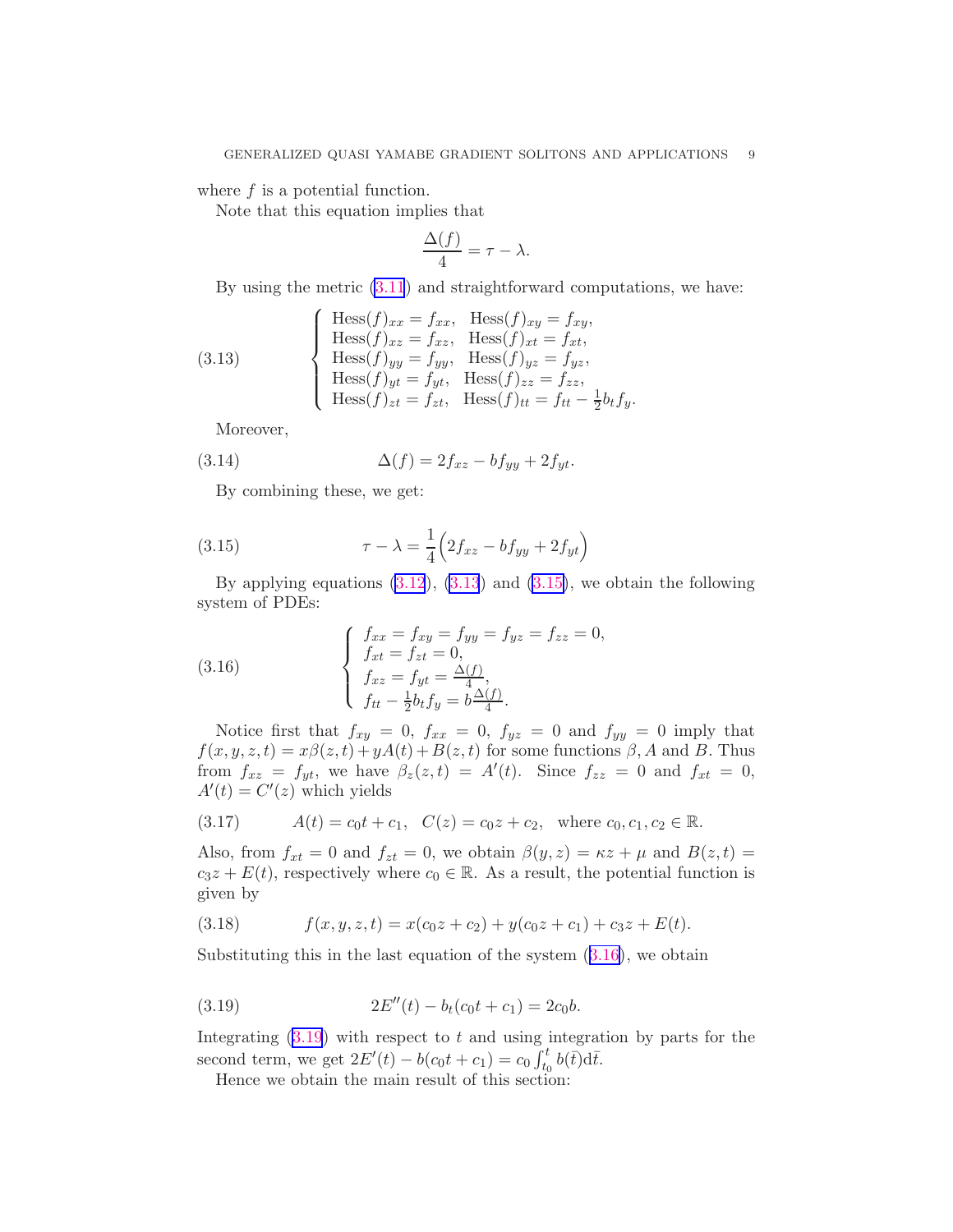where  $f$  is a potential function.

Note that this equation implies that

$$
\frac{\Delta(f)}{4} = \tau - \lambda.
$$

By using the metric [\(3.11](#page-7-0)) and straightforward computations, we have:

(3.13) 
$$
\begin{cases}\n\text{Hess}(f)_{xx} = f_{xx}, \quad \text{Hess}(f)_{xy} = f_{xy}, \\
\text{Hess}(f)_{xz} = f_{xz}, \quad \text{Hess}(f)_{xt} = f_{xt}, \\
\text{Hess}(f)_{yy} = f_{yy}, \quad \text{Hess}(f)_{yz} = f_{yz}, \\
\text{Hess}(f)_{yt} = f_{yt}, \quad \text{Hess}(f)_{zz} = f_{zz}, \\
\text{Hess}(f)_{zt} = f_{zt}, \quad \text{Hess}(f)_{tt} = f_{tt} - \frac{1}{2}b_tf_y.\n\end{cases}
$$

Moreover,

(3.14) 
$$
\Delta(f) = 2f_{xz} - b f_{yy} + 2f_{yt}.
$$

By combining these, we get:

(3.15) 
$$
\tau - \lambda = \frac{1}{4} \left( 2f_{xz} - b f_{yy} + 2f_{yt} \right)
$$

By applying equations  $(3.12)$ ,  $(3.13)$  and  $(3.15)$ , we obtain the following system of PDEs:

(3.16) 
$$
\begin{cases} f_{xx} = f_{xy} = f_{yy} = f_{yz} = f_{zz} = 0, \\ f_{xt} = f_{zt} = 0, \\ f_{xz} = f_{yt} = \frac{\Delta(f)}{4}, \\ f_{tt} - \frac{1}{2}b_tf_y = b\frac{\Delta(f)}{4}. \end{cases}
$$

Notice first that  $f_{xy} = 0$ ,  $f_{xx} = 0$ ,  $f_{yz} = 0$  and  $f_{yy} = 0$  imply that  $f(x, y, z, t) = x\beta(z, t) + yA(t) + B(z, t)$  for some functions  $\beta$ , A and B. Thus from  $f_{xz} = f_{yt}$ , we have  $\beta_z(z,t) = A'(t)$ . Since  $f_{zz} = 0$  and  $f_{xt} = 0$ ,  $A'(t) = C'(z)$  which yields

(3.17) 
$$
A(t) = c_0 t + c_1, \quad C(z) = c_0 z + c_2, \text{ where } c_0, c_1, c_2 \in \mathbb{R}.
$$

Also, from  $f_{xt} = 0$  and  $f_{zt} = 0$ , we obtain  $\beta(y, z) = \kappa z + \mu$  and  $B(z, t) =$  $c_3z + E(t)$ , respectively where  $c_0 \in \mathbb{R}$ . As a result, the potential function is given by

(3.18) 
$$
f(x, y, z, t) = x(c_0z + c_2) + y(c_0z + c_1) + c_3z + E(t).
$$

Substituting this in the last equation of the system  $(3.16)$ , we obtain

(3.19) 
$$
2E''(t) - b_t(c_0t + c_1) = 2c_0b.
$$

Integrating  $(3.19)$  with respect to t and using integration by parts for the second term, we get  $2E'(t) - b(c_0t + c_1) = c_0 \int_{t_0}^t b(\bar{t}) d\bar{t}$ .

Hence we obtain the main result of this section: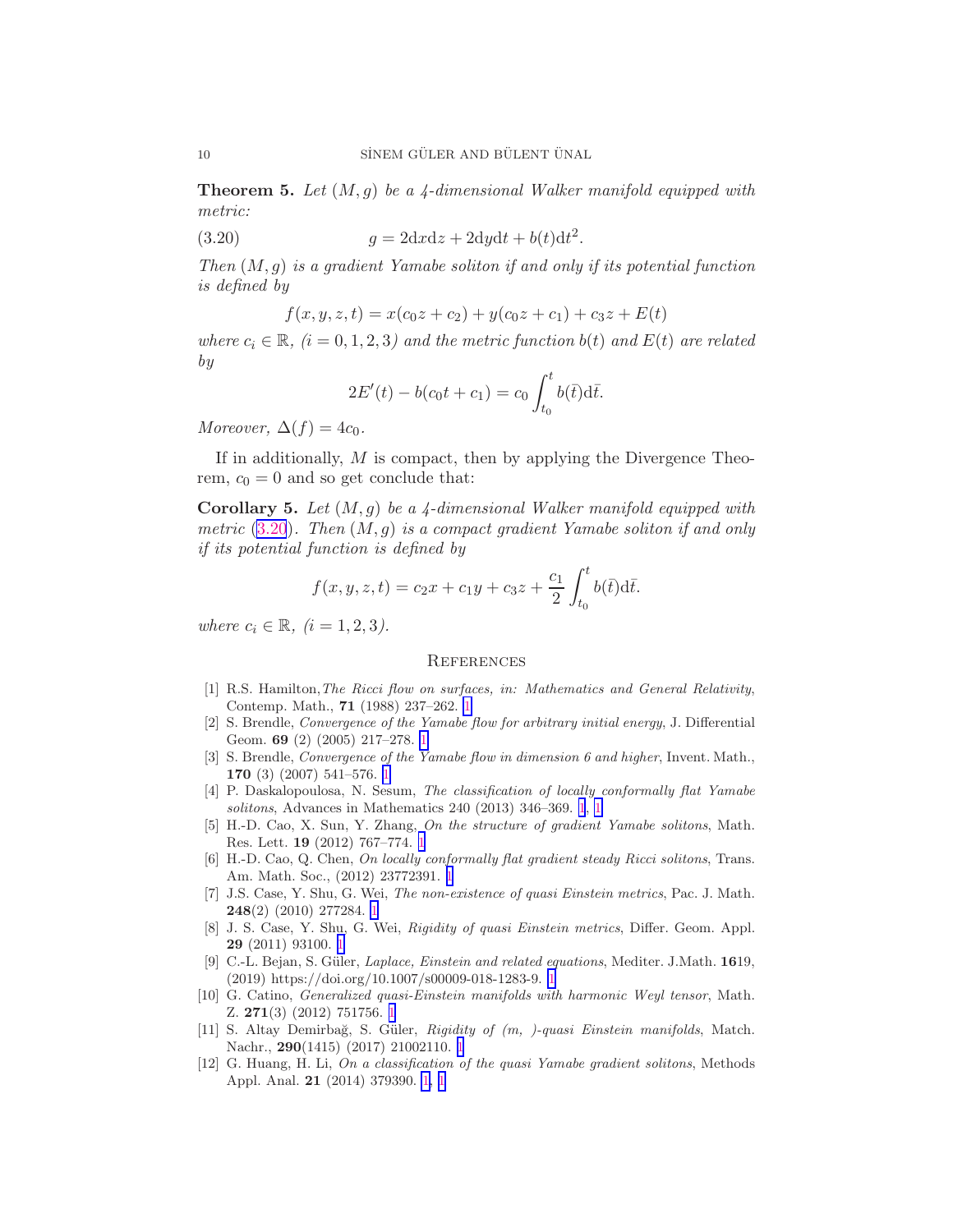<span id="page-9-0"></span>**Theorem 5.** Let  $(M, g)$  be a 4-dimensional Walker manifold equipped with metric:

(3.20) 
$$
g = 2dx dz + 2dy dt + b(t) dt2.
$$

Then  $(M, q)$  is a gradient Yamabe soliton if and only if its potential function is defined by

$$
f(x, y, z, t) = x(c_0z + c_2) + y(c_0z + c_1) + c_3z + E(t)
$$

where  $c_i \in \mathbb{R}$ ,  $(i = 0, 1, 2, 3)$  and the metric function  $b(t)$  and  $E(t)$  are related by

$$
2E'(t) - b(c_0t + c_1) = c_0 \int_{t_0}^t b(\bar{t}) d\bar{t}.
$$

Moreover,  $\Delta(f) = 4c_0$ .

If in additionally,  $M$  is compact, then by applying the Divergence Theorem,  $c_0 = 0$  and so get conclude that:

**Corollary 5.** Let  $(M, q)$  be a 4-dimensional Walker manifold equipped with metric  $(3.20)$ . Then  $(M, g)$  is a compact gradient Yamabe soliton if and only if its potential function is defined by

$$
f(x, y, z, t) = c_2 x + c_1 y + c_3 z + \frac{c_1}{2} \int_{t_0}^t b(\bar{t}) d\bar{t}.
$$

where  $c_i \in \mathbb{R}, \ (i = 1, 2, 3).$ 

#### **REFERENCES**

- [1] R.S. Hamilton,The Ricci flow on surfaces, in: Mathematics and General Relativity, Contemp. Math., 71 (1988) 237–262. [1](#page-0-0)
- [2] S. Brendle, Convergence of the Yamabe flow for arbitrary initial energy, J. Differential Geom. 69 (2) (2005) 217–278. [1](#page-0-0)
- [3] S. Brendle, Convergence of the Yamabe flow in dimension 6 and higher, Invent. Math., 170 (3) (2007) 541–576. [1](#page-0-0)
- [4] P. Daskalopoulosa, N. Sesum, The classification of locally conformally flat Yamabe solitons, Advances in Mathematics 240 (2013) 346–369. [1](#page-0-0), [1](#page-0-0)
- [5] H.-D. Cao, X. Sun, Y. Zhang, On the structure of gradient Yamabe solitons, Math. Res. Lett. 19 (2012) 767–774. [1](#page-0-0)
- [6] H.-D. Cao, Q. Chen, On locally conformally flat gradient steady Ricci solitons, Trans. Am. Math. Soc., (2012) 23772391. [1](#page-0-0)
- [7] J.S. Case, Y. Shu, G. Wei, The non-existence of quasi Einstein metrics, Pac. J. Math. 248(2) (2010) 277284. [1](#page-0-0)
- [8] J. S. Case, Y. Shu, G. Wei, *Rigidity of quasi Einstein metrics*, Differ. Geom. Appl. 29 (2011) 93100. [1](#page-0-0)
- [9] C.-L. Bejan, S. G¨uler, Laplace, Einstein and related equations, Mediter. J.Math. 1619, (2019) https://doi.org/10.1007/s00009-018-1283-9. [1](#page-0-0)
- [10] G. Catino, Generalized quasi-Einstein manifolds with harmonic Weyl tensor, Math. Z. 271(3) (2012) 751756. [1](#page-0-0)
- [11] S. Altay Demirbağ, S. Güler, Rigidity of  $(m, )$ -quasi Einstein manifolds, Match. Nachr., 290(1415) (2017) 21002110. [1](#page-0-0)
- [12] G. Huang, H. Li, On a classification of the quasi Yamabe gradient solitons, Methods Appl. Anal. 21 (2014) 379390. [1](#page-0-0), [1](#page-1-0)